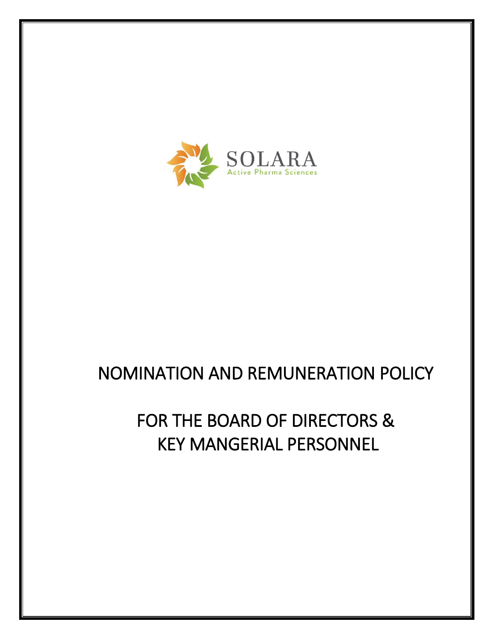

# NOMINATION AND REMUNERATION POLICY

# FOR THE BOARD OF DIRECTORS & KEY MANGERIAL PERSONNEL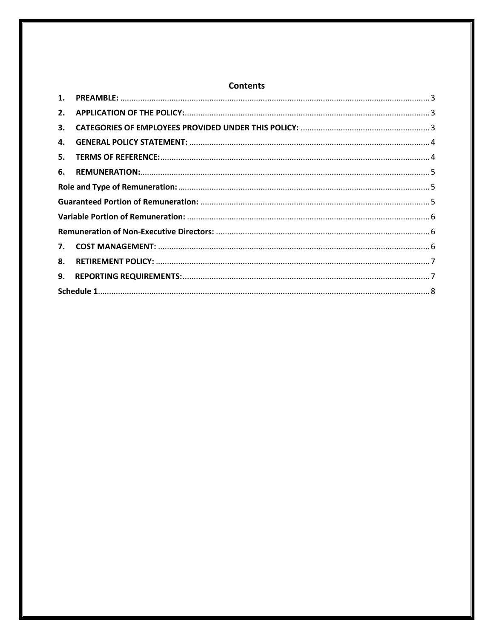| 1.           |  |  |  |  |  |
|--------------|--|--|--|--|--|
| 2.           |  |  |  |  |  |
| 3.           |  |  |  |  |  |
| 4.           |  |  |  |  |  |
| 5.           |  |  |  |  |  |
| 6.           |  |  |  |  |  |
|              |  |  |  |  |  |
|              |  |  |  |  |  |
|              |  |  |  |  |  |
|              |  |  |  |  |  |
| $\mathbf{7}$ |  |  |  |  |  |
| 8.           |  |  |  |  |  |
| 9.           |  |  |  |  |  |
|              |  |  |  |  |  |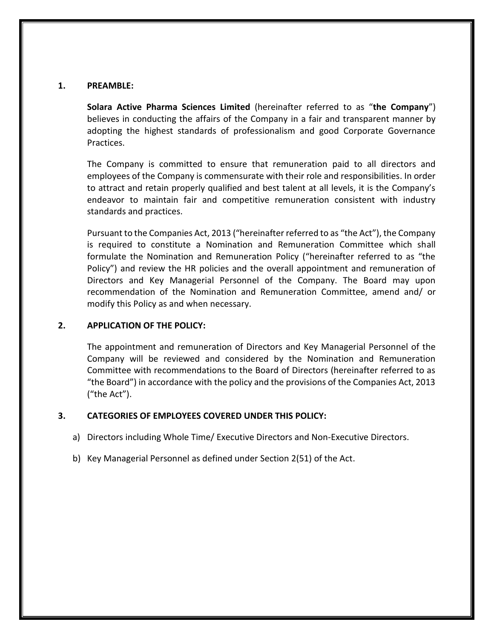#### <span id="page-2-0"></span>**1. PREAMBLE:**

**Solara Active Pharma Sciences Limited** (hereinafter referred to as "**the Company**") believes in conducting the affairs of the Company in a fair and transparent manner by adopting the highest standards of professionalism and good Corporate Governance Practices.

The Company is committed to ensure that remuneration paid to all directors and employees of the Company is commensurate with their role and responsibilities. In order to attract and retain properly qualified and best talent at all levels, it is the Company's endeavor to maintain fair and competitive remuneration consistent with industry standards and practices.

Pursuant to the Companies Act, 2013 ("hereinafter referred to as "the Act"), the Company is required to constitute a Nomination and Remuneration Committee which shall formulate the Nomination and Remuneration Policy ("hereinafter referred to as "the Policy") and review the HR policies and the overall appointment and remuneration of Directors and Key Managerial Personnel of the Company. The Board may upon recommendation of the Nomination and Remuneration Committee, amend and/ or modify this Policy as and when necessary.

# <span id="page-2-1"></span>**2. APPLICATION OF THE POLICY:**

The appointment and remuneration of Directors and Key Managerial Personnel of the Company will be reviewed and considered by the Nomination and Remuneration Committee with recommendations to the Board of Directors (hereinafter referred to as "the Board") in accordance with the policy and the provisions of the Companies Act, 2013 ("the Act").

# <span id="page-2-2"></span>**3. CATEGORIES OF EMPLOYEES COVERED UNDER THIS POLICY:**

- a) Directors including Whole Time/ Executive Directors and Non-Executive Directors.
- b) Key Managerial Personnel as defined under Section 2(51) of the Act.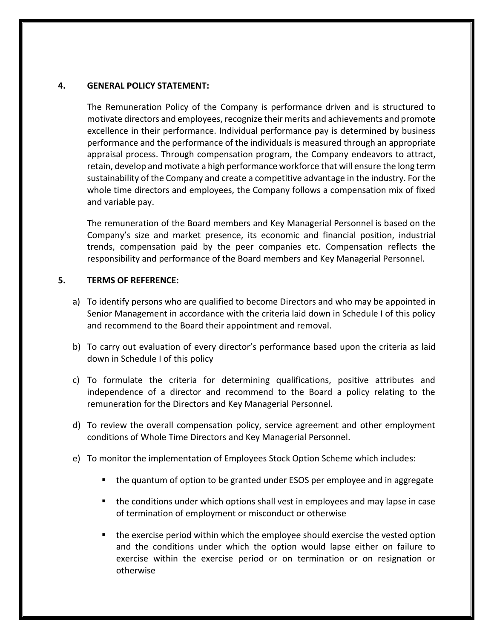### <span id="page-3-0"></span>**4. GENERAL POLICY STATEMENT:**

The Remuneration Policy of the Company is performance driven and is structured to motivate directors and employees, recognize their merits and achievements and promote excellence in their performance. Individual performance pay is determined by business performance and the performance of the individuals is measured through an appropriate appraisal process. Through compensation program, the Company endeavors to attract, retain, develop and motivate a high performance workforce that will ensure the long term sustainability of the Company and create a competitive advantage in the industry. For the whole time directors and employees, the Company follows a compensation mix of fixed and variable pay.

The remuneration of the Board members and Key Managerial Personnel is based on the Company's size and market presence, its economic and financial position, industrial trends, compensation paid by the peer companies etc. Compensation reflects the responsibility and performance of the Board members and Key Managerial Personnel.

#### <span id="page-3-1"></span>**5. TERMS OF REFERENCE:**

- a) To identify persons who are qualified to become Directors and who may be appointed in Senior Management in accordance with the criteria laid down in Schedule I of this policy and recommend to the Board their appointment and removal.
- b) To carry out evaluation of every director's performance based upon the criteria as laid down in Schedule I of this policy
- c) To formulate the criteria for determining qualifications, positive attributes and independence of a director and recommend to the Board a policy relating to the remuneration for the Directors and Key Managerial Personnel.
- d) To review the overall compensation policy, service agreement and other employment conditions of Whole Time Directors and Key Managerial Personnel.
- e) To monitor the implementation of Employees Stock Option Scheme which includes:
	- the quantum of option to be granted under ESOS per employee and in aggregate
	- **the conditions under which options shall vest in employees and may lapse in case** of termination of employment or misconduct or otherwise
	- **the exercise period within which the employee should exercise the vested option** and the conditions under which the option would lapse either on failure to exercise within the exercise period or on termination or on resignation or otherwise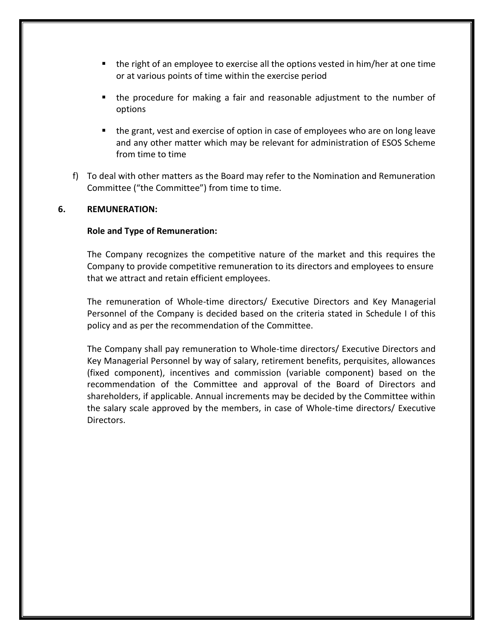- the right of an employee to exercise all the options vested in him/her at one time or at various points of time within the exercise period
- the procedure for making a fair and reasonable adjustment to the number of options
- the grant, vest and exercise of option in case of employees who are on long leave and any other matter which may be relevant for administration of ESOS Scheme from time to time
- f) To deal with other matters as the Board may refer to the Nomination and Remuneration Committee ("the Committee") from time to time.

# <span id="page-4-1"></span><span id="page-4-0"></span>**6. REMUNERATION:**

#### <span id="page-4-2"></span>**Role and Type of Remuneration:**

The Company recognizes the competitive nature of the market and this requires the Company to provide competitive remuneration to its directors and employees to ensure that we attract and retain efficient employees.

The remuneration of Whole-time directors/ Executive Directors and Key Managerial Personnel of the Company is decided based on the criteria stated in Schedule I of this policy and as per the recommendation of the Committee.

The Company shall pay remuneration to Whole-time directors/ Executive Directors and Key Managerial Personnel by way of salary, retirement benefits, perquisites, allowances (fixed component), incentives and commission (variable component) based on the recommendation of the Committee and approval of the Board of Directors and shareholders, if applicable. Annual increments may be decided by the Committee within the salary scale approved by the members, in case of Whole-time directors/ Executive Directors.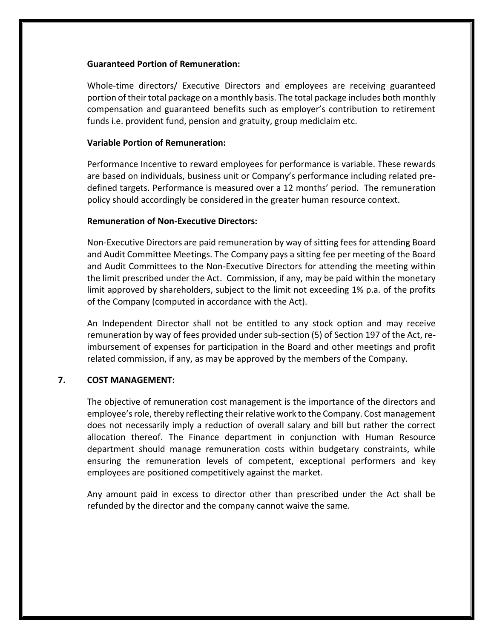#### <span id="page-5-0"></span>**Guaranteed Portion of Remuneration:**

Whole-time directors/ Executive Directors and employees are receiving guaranteed portion of their total package on a monthly basis. The total package includes both monthly compensation and guaranteed benefits such as employer's contribution to retirement funds i.e. provident fund, pension and gratuity, group mediclaim etc.

# **Variable Portion of Remuneration:**

Performance Incentive to reward employees for performance is variable. These rewards are based on individuals, business unit or Company's performance including related predefined targets. Performance is measured over a 12 months' period. The remuneration policy should accordingly be considered in the greater human resource context.

#### <span id="page-5-1"></span>**Remuneration of Non-Executive Directors:**

Non-Executive Directors are paid remuneration by way of sitting fees for attending Board and Audit Committee Meetings. The Company pays a sitting fee per meeting of the Board and Audit Committees to the Non-Executive Directors for attending the meeting within the limit prescribed under the Act. Commission, if any, may be paid within the monetary limit approved by shareholders, subject to the limit not exceeding 1% p.a. of the profits of the Company (computed in accordance with the Act).

An Independent Director shall not be entitled to any stock option and may receive remuneration by way of fees provided under sub-section (5) of Section 197 of the Act, reimbursement of expenses for participation in the Board and other meetings and profit related commission, if any, as may be approved by the members of the Company.

# <span id="page-5-2"></span>**7. COST MANAGEMENT:**

The objective of remuneration cost management is the importance of the directors and employee's role, thereby reflecting their relative work to the Company. Cost management does not necessarily imply a reduction of overall salary and bill but rather the correct allocation thereof. The Finance department in conjunction with Human Resource department should manage remuneration costs within budgetary constraints, while ensuring the remuneration levels of competent, exceptional performers and key employees are positioned competitively against the market.

<span id="page-5-3"></span>Any amount paid in excess to director other than prescribed under the Act shall be refunded by the director and the company cannot waive the same.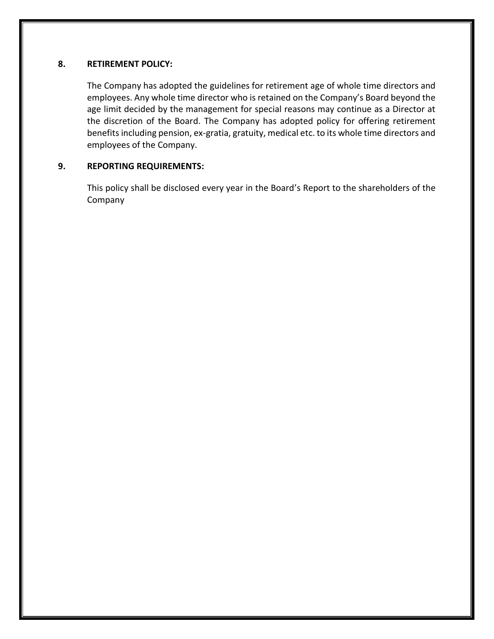# **8. RETIREMENT POLICY:**

The Company has adopted the guidelines for retirement age of whole time directors and employees. Any whole time director who is retained on the Company's Board beyond the age limit decided by the management for special reasons may continue as a Director at the discretion of the Board. The Company has adopted policy for offering retirement benefits including pension, ex-gratia, gratuity, medical etc. to its whole time directors and employees of the Company.

# <span id="page-6-0"></span>**9. REPORTING REQUIREMENTS:**

This policy shall be disclosed every year in the Board's Report to the shareholders of the Company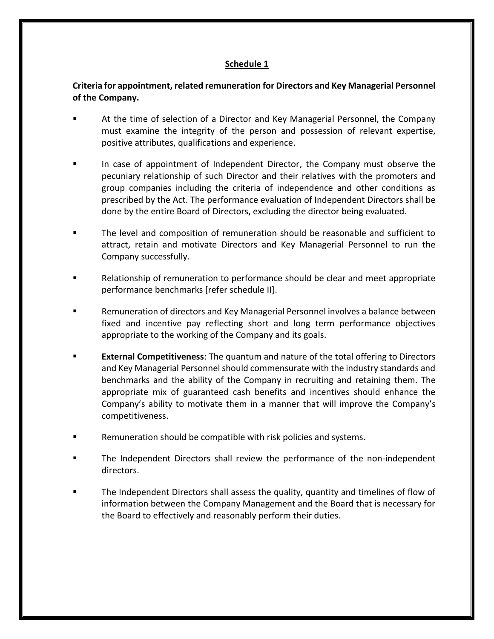# **Schedule 1**

# <span id="page-7-0"></span>**Criteria for appointment, related remuneration for Directors and Key Managerial Personnel of the Company.**

- At the time of selection of a Director and Key Managerial Personnel, the Company must examine the integrity of the person and possession of relevant expertise, positive attributes, qualifications and experience.
- In case of appointment of Independent Director, the Company must observe the pecuniary relationship of such Director and their relatives with the promoters and group companies including the criteria of independence and other conditions as prescribed by the Act. The performance evaluation of Independent Directors shall be done by the entire Board of Directors, excluding the director being evaluated.
- The level and composition of remuneration should be reasonable and sufficient to attract, retain and motivate Directors and Key Managerial Personnel to run the Company successfully.
- Relationship of remuneration to performance should be clear and meet appropriate performance benchmarks [refer schedule II].
- Remuneration of directors and Key Managerial Personnel involves a balance between fixed and incentive pay reflecting short and long term performance objectives appropriate to the working of the Company and its goals.
- **External Competitiveness**: The quantum and nature of the total offering to Directors and Key Managerial Personnel should commensurate with the industry standards and benchmarks and the ability of the Company in recruiting and retaining them. The appropriate mix of guaranteed cash benefits and incentives should enhance the Company's ability to motivate them in a manner that will improve the Company's competitiveness.
- Remuneration should be compatible with risk policies and systems.
- The Independent Directors shall review the performance of the non-independent directors.
- The Independent Directors shall assess the quality, quantity and timelines of flow of information between the Company Management and the Board that is necessary for the Board to effectively and reasonably perform their duties.